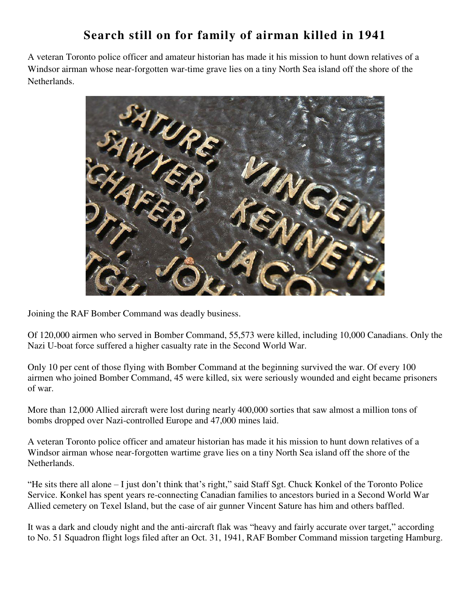## **Search still on for family of airman killed in 1941**

A veteran Toronto police officer and amateur historian has made it his mission to hunt down relatives of a Windsor airman whose near-forgotten war-time grave lies on a tiny North Sea island off the shore of the Netherlands.



Joining the RAF Bomber Command was deadly business.

Of 120,000 airmen who served in Bomber Command, 55,573 were killed, including 10,000 Canadians. Only the Nazi U-boat force suffered a higher casualty rate in the Second World War.

Only 10 per cent of those flying with Bomber Command at the beginning survived the war. Of every 100 airmen who joined Bomber Command, 45 were killed, six were seriously wounded and eight became prisoners of war.

More than 12,000 Allied aircraft were lost during nearly 400,000 sorties that saw almost a million tons of bombs dropped over Nazi-controlled Europe and 47,000 mines laid.

A veteran Toronto police officer and amateur historian has made it his mission to hunt down relatives of a Windsor airman whose near-forgotten wartime grave lies on a tiny North Sea island off the shore of the Netherlands.

"He sits there all alone – I just don't think that's right," said Staff Sgt. Chuck Konkel of the Toronto Police Service. Konkel has spent years re-connecting Canadian families to ancestors buried in a Second World War Allied cemetery on Texel Island, but the case of air gunner Vincent Sature has him and others baffled.

It was a dark and cloudy night and the anti-aircraft flak was "heavy and fairly accurate over target," according to No. 51 Squadron flight logs filed after an Oct. 31, 1941, RAF Bomber Command mission targeting Hamburg.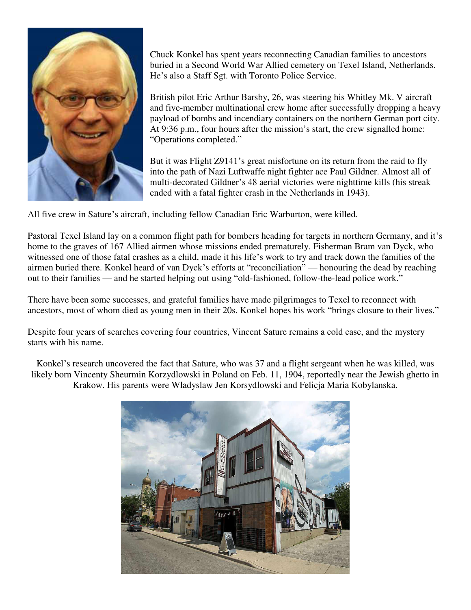

Chuck Konkel has spent years reconnecting Canadian families to ancestors buried in a Second World War Allied cemetery on Texel Island, Netherlands. He's also a Staff Sgt. with Toronto Police Service.

British pilot Eric Arthur Barsby, 26, was steering his Whitley Mk. V aircraft and five-member multinational crew home after successfully dropping a heavy payload of bombs and incendiary containers on the northern German port city. At 9:36 p.m., four hours after the mission's start, the crew signalled home: "Operations completed."

But it was Flight Z9141's great misfortune on its return from the raid to fly into the path of Nazi Luftwaffe night fighter ace Paul Gildner. Almost all of multi-decorated Gildner's 48 aerial victories were nighttime kills (his streak ended with a fatal fighter crash in the Netherlands in 1943).

All five crew in Sature's aircraft, including fellow Canadian Eric Warburton, were killed.

Pastoral Texel Island lay on a common flight path for bombers heading for targets in northern Germany, and it's home to the graves of 167 Allied airmen whose missions ended prematurely. Fisherman Bram van Dyck, who witnessed one of those fatal crashes as a child, made it his life's work to try and track down the families of the airmen buried there. Konkel heard of van Dyck's efforts at "reconciliation" — honouring the dead by reaching out to their families — and he started helping out using "old-fashioned, follow-the-lead police work."

There have been some successes, and grateful families have made pilgrimages to Texel to reconnect with ancestors, most of whom died as young men in their 20s. Konkel hopes his work "brings closure to their lives."

Despite four years of searches covering four countries, Vincent Sature remains a cold case, and the mystery starts with his name.

Konkel's research uncovered the fact that Sature, who was 37 and a flight sergeant when he was killed, was likely born Vincenty Sheurmin Korzydlowski in Poland on Feb. 11, 1904, reportedly near the Jewish ghetto in Krakow. His parents were Wladyslaw Jen Korsydlowski and Felicja Maria Kobylanska.